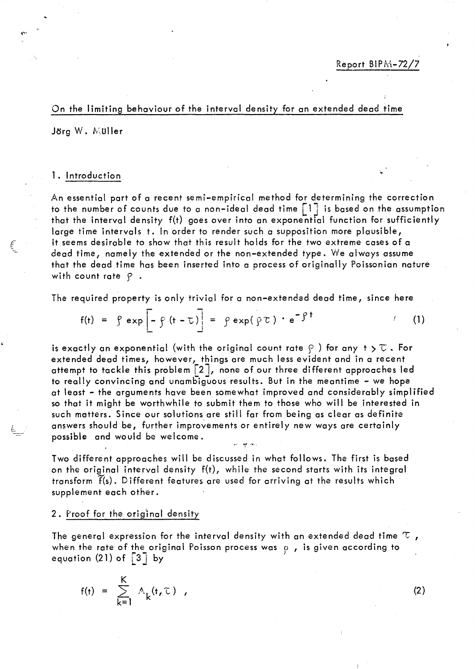### On the limiting behoviour of the interval density for an extended dead time

Jörg W. Müller

## 1. Introduction

An essential part of a recent semi-empirical method for determining the correction to the number of counts due to a non-ideal dead time  $\lceil 1 \rceil$  is based on the assumption that the interval density f(t) goes over into an exponential function for sufficiently large time intervals t. In order to render such a supposition more plausible, it seems desirable to show that this result holds for the two extreme cases of a dead time, namely the extended or the non-extended type. We always assume that the dead time has been inserted into a process of originally Poissonian nature with count rate  $P$ .

The required property is only trivial for a non-extended de ad time, since here

$$
f(t) = \int e \exp \left[ - \int (t - \tau) \right] = \int e \exp(\int \tau) \cdot e^{-\int \tau} \tag{1}
$$

is exactly an exponential (with the original count rate  $\wp$  ) for any  $t > \mathbb{C}$  • For extended dead times, however, things are much less evident and in a recent attempt to tackle this problem  $\lceil 2 \rceil$ , none of our three different approaches led to really convincing and unambiguous results. But in the meantime - we hope at least – the arguments have been somewhat improved and considerably simplified so that it might be worthwhile to submit them to those who will be interested in such matters. Since our solutions are still far from being as clear as definite answers should be, further improvements or entirely new ways are certainly possible and would be welcome. ~, 'PIf. , .... ,

Two different approaches will be discussed in what follows. The first is based on the original interval density f(t), while the second starts with its integral transform f(s). Different features are used for arriving at the results which supplement each other.

# 2. Proof for the orig'inal density

The general expression for the interval density with an extended dead time  $\tau$  , when the rate of the original Poisson process was  $\rho$ , is given according to when the rate of the original roisson process was  $\frac{1}{2}$  by

$$
f(t) = \sum_{k=1}^{K} A_k(t, \tau) ,
$$

(2)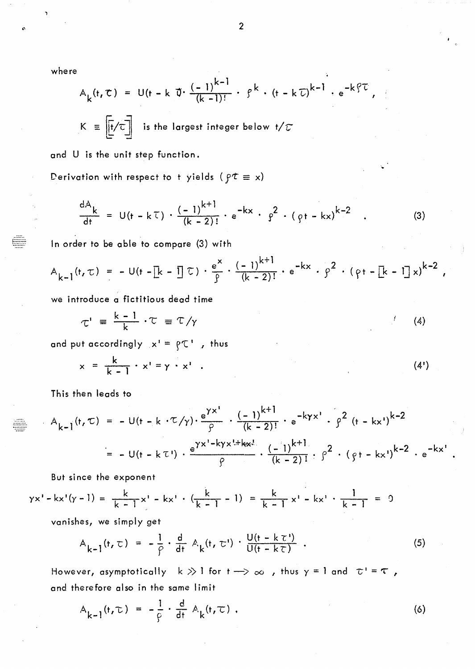where

7

$$
A_{k}(t, \tau) = U(t - k \, \vec{U} \cdot \frac{(-1)^{k-1}}{(k-1)!} \cdot \beta^{k} \cdot (t - k \, \vec{U})^{k-1} \cdot e^{-k \cdot \vec{U}}
$$
\n
$$
K \equiv \boxed{[t/\tau]}
$$
 is the largest integer below  $t/\tau$ 

and U is the unit step function.

Derivation with respect to t yields ( $f \notin x$ )

$$
\frac{dA_k}{dt} = U(t - kT) \cdot \frac{(-1)^{k+1}}{(k-2)!} \cdot e^{-kx} \cdot \rho^2 \cdot (\rho t - kx)^{k-2} \quad . \tag{3}
$$

. ..

In order to be able to compare (3) with

$$
A_{k-1}(t,\tau) = -U(t - [k - 1]\tau) \cdot \frac{e^{x}}{\int} \cdot \frac{(-1)^{k+1}}{(k-2)!} \cdot e^{-kx} \cdot \int^{2} \cdot (\rho t - [k - 1]x)^{k-2},
$$

we introduce a fictitious dead time

$$
\tau' = \frac{k-1}{k} \cdot \tau = \tau / \gamma \tag{4}
$$

and put accordingly  $x' = \rho \tau'$ , thus

$$
x = \frac{k}{k-1} \cdot x' = \gamma \cdot x'
$$
 (4')

This then leads to

$$
A_{k-1}(t, \tau) = -U(t - k \cdot \tau/\gamma) \cdot \frac{e^{\gamma x^1}}{\beta} \cdot \frac{(-1)^{k+1}}{(k-2)!} \cdot e^{-k\gamma x^1} \cdot \beta^2 (t - kx^1)^{k-2}
$$
  
= -U(t - k\tau) \cdot \frac{e^{\gamma x^1 - k\gamma x^1 + k\alpha x^1}}{\beta} \cdot \frac{(-1)^{k+1}}{(k-2)!} \cdot \beta^2 \cdot (gt - kx^1)^{k-2} \cdot e^{-kx^1}

But since the exponent

$$
\gamma x' - kx'(\gamma - 1) = \frac{k}{k - 1}x' - kx' \cdot (\frac{k}{k - 1} - 1) = \frac{k}{k - 1}x' - kx' \cdot \frac{1}{k - 1} = 0
$$

vanishes, we simply get

$$
A_{k-1}(t,\tau) = -\frac{1}{\rho} \cdot \frac{d}{dt} A_k(t,\tau') \cdot \frac{U(t-k\tau')}{U(t-k\tau)} \tag{5}
$$

However, asymptotically  $k \gg 1$  for  $t \rightarrow \infty$  , thus  $\gamma = 1$  and  $\tau' = \tau$ , and therefore also in the same limit

$$
A_{k-1}(t,\tau) = -\frac{1}{\varphi} \cdot \frac{d}{dt} A_k(t,\tau) . \qquad (6)
$$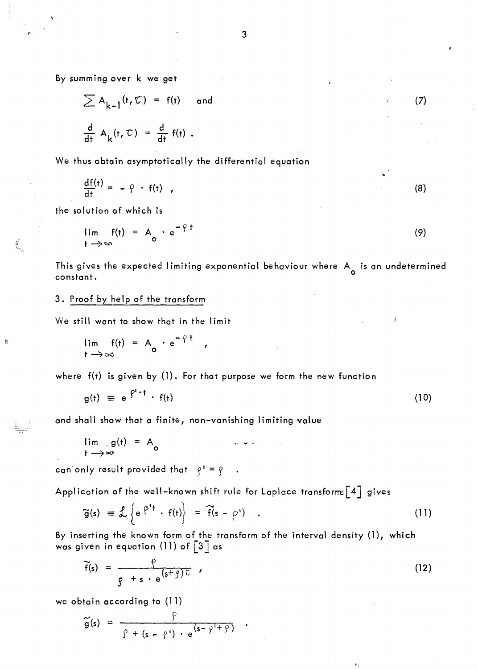By summ ing over k we get

$$
\sum A_{k-1}(t, \mathcal{T}) = f(t) \quad \text{and}
$$
\n
$$
\frac{d}{dt} A_k(t, \mathcal{T}) = \frac{d}{dt} f(t).
$$
\n(7)

We thus obtain asymptotically the differential equation

$$
\frac{df(t)}{dt} = -\varphi \cdot f(t) \quad , \tag{8}
$$

the solution of which is

,- ,-

$$
\lim_{t \to \infty} f(t) = A_0 \cdot e^{-\gamma t}
$$
 (9)

This gives the expected limiting exponential behaviour where  $A_\perp$  is an undetermined constant.

## 3. Proof by help of the transform

We still want to show that in the limit

$$
\lim_{t \to \infty} f(t) = A_0 \cdot e^{-\frac{\rho}{2}t} ,
$$

where f(t) is given by (1). For that purpose we form the new function

$$
g(t) \equiv e^{\int P^t \cdot t} \cdot f(t) \tag{10}
$$

ng.<br>T

and shall show that a finite, non-vanishing limitïng value

$$
\lim_{t \to \infty} g(t) = A_0
$$

can only result provided that  $\rho' = \rho$ 

Application of the well-known shift rule for Laplace transforms [4] gives

$$
\widetilde{g}(s) = \mathcal{L}\left\{e^{\beta^{1}t} \cdot f(t)\right\} = \widetilde{f}(s - \rho') \quad . \tag{11}
$$

By inserting the known form of the transform of the interval density (1), which was given in equation (11) of  $\boxed{3}$  as

$$
\widetilde{f}(s) = \frac{\rho}{g + s \cdot e^{(s + \rho)\overline{c}}},
$$
\n(12)

l;,

we obtain according to (11)

$$
\widetilde{g}(s) = \frac{\widetilde{g}}{\widetilde{g} + (s - \widehat{g}^{\prime}) \cdot e^{(s - \widehat{g}^{\prime} + \widehat{g})}}
$$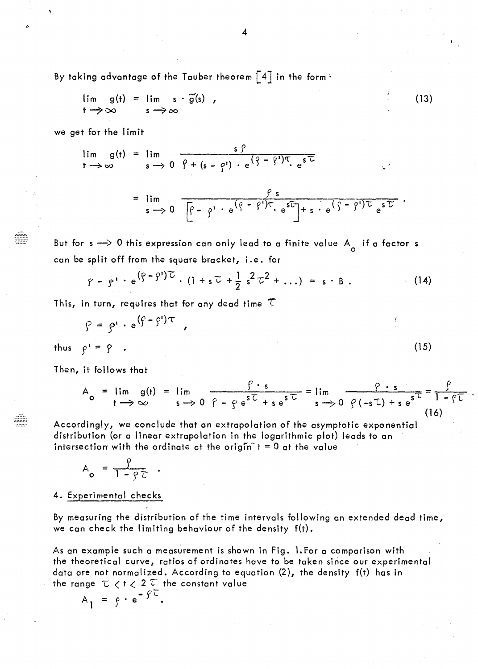By taking advantage of the Tauber theorem  $\left[\begin{smallmatrix} 4 \end{smallmatrix} \right]$  in the form  $\cdot$ 

$$
\lim_{t \to \infty} g(t) = \lim_{s \to \infty} s \cdot \widetilde{g}(s) , \qquad (13)
$$

we get for the limit

$$
\lim_{t \to \infty} g(t) = \lim_{s \to 0} \frac{s \beta}{\beta + (s - \beta') \cdot e^{\left(\frac{\beta}{2} - \beta'\right)\tau} \cdot e^{s\tau}}
$$
\n
$$
= \lim_{s \to 0} \frac{\beta s}{\left[\beta - \beta'\right] \cdot e^{\left(\beta - \beta'\right)\tau} \cdot e^{s\tau}\right] + s \cdot e^{\left(\frac{\beta}{2} - \beta'\right)\tau} e^{s\tau}}
$$

But for  $s\longrightarrow 0$  this expression can only lead to a finite value  $A_{\overline{O}}$  if a factor  $s$ can be split off from the square bracket, i.e. for

$$
P - P' \cdot e^{(\rho - \rho')\tau} \cdot (1 + s\tau + \frac{1}{2} s^2 \tau^2 + \ldots) = s \cdot B \ .
$$
 (14)

This, in turn, requires that for any dead time *T* 

$$
\beta = \beta' \cdot e^{(\beta - \beta')\tau} ,
$$

thus  $\rho' = \rho$ .

~~.~.'-:.-"'. r::::::::

t::.:::.::.::.

Then, it follows that

$$
A_{o} = \lim_{t \to \infty} g(t) = \lim_{s \to 0} \frac{\int f \cdot s}{\int f - \int f e^{s\overline{L}} + s e^{s\overline{L}}} = \lim_{s \to 0} \frac{\int g \cdot s}{\int f(-s\overline{L}) + s e^{s\overline{L}}} = \frac{\int f}{1 - \int f}.
$$
\n(16)

(15)

Accordingly, we conclude that an extrapolation of the asymptotic exponential distribution (or a linear extrapolation in the logarithmic plot) leads to an intersection with the ordinate at the origin  $t = 0$  at the value

$$
A_o = \frac{\rho}{1 - \rho \tau}
$$

4. Experimental checks

By measuring the distribution of the time intervals following an extended dead time, we can check the limiting behaviour of the density  $f(t)$ .

As an example such a measurement is shown in Fig. l.For a comparison with the theoretical curve, ratios of ordinates have to be taken since our experimental data are not normalized. According to equation (2), the density f(t) has in the range  $\tau$   $\lt$  t  $\lt$  2  $\tau$  the constant value

$$
A_1 = \rho \cdot e^{-\rho \tau}.
$$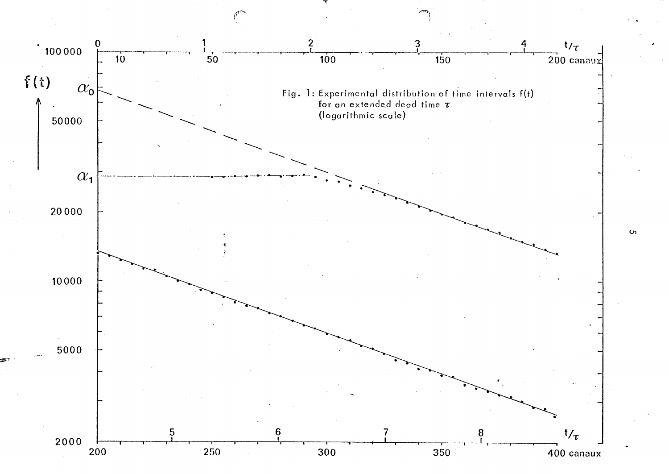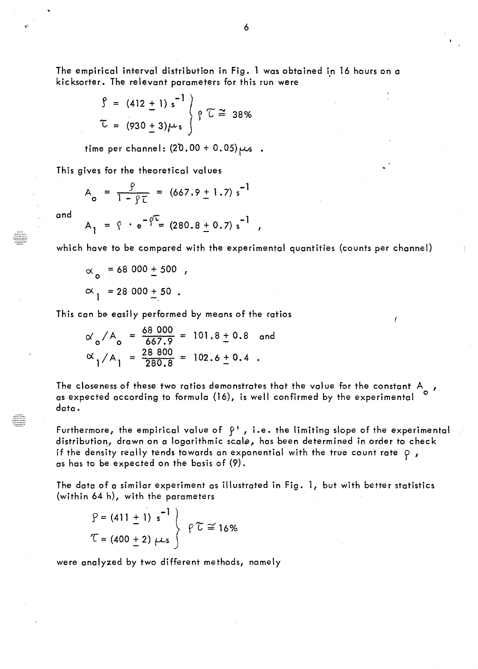The empirical interval distribution in Fig. 1 was obtained in 16 hours on a kicksorter. The relevant parameters for this run were

$$
\int = (412 \pm 1) s^{-1} \int \int \sqrt{2} \approx 38\%
$$
  

$$
\int = (930 \pm 3) \mu s \int \sqrt{2} \approx 38\%
$$

time per channel:  $(20.00 + 0.05)\mu s$ .

This gives for the theoretical values

$$
A_{o} = \frac{9}{1 - 9\tau} = (667.9 \pm 1.7) s^{-1}
$$

and

$$
A_1 = \zeta \cdot e^{-\hat{\zeta}^2} = (280.8 \pm 0.7) s^{-1} ,
$$

which have to be compared with the experimental quantities (counts per channel)

$$
\alpha_0
$$
 = 68 000 ± 500 ,  
\n $\alpha_1$  = 28 000 ± 50 .

This can be easily performed by means of the ratios

$$
\alpha_0 / A_0 = \frac{68\,000}{667.9} = 101.8 \pm 0.8
$$
 and  
 $\alpha_1 / A_1 = \frac{28\,800}{280.8} = 102.6 \pm 0.4$ .

The closeness of these two ratios demonstrates that the value for the constant A<sub>0</sub>, as expected according to formula (16), is weil confirmed by the experimental 0 data.

Furthermore, the empirical value of  $\beta^1$ , i.e. the limiting slope of the experimental distribution, drawn on a logarithmic scale, has been determined in order to check if the density really tends towards an exponential with the true count rate  $\rho$ , as has to be expected on the basis of (9).

The data of a similar experiment as illustrated in Fig. l, but with better statistics (within 64 h), with the parameters

$$
\left.\n\begin{array}{c}\n\mathbf{S} = (411 \pm 1) \, \text{s}^{-1} \\
\mathbf{C} = (400 \pm 2) \, \mu \, \text{s}\n\end{array}\n\right\}\n\quad \rho \,\mathbf{C} \cong 16\%
$$

were analyzed by two different methods, namely